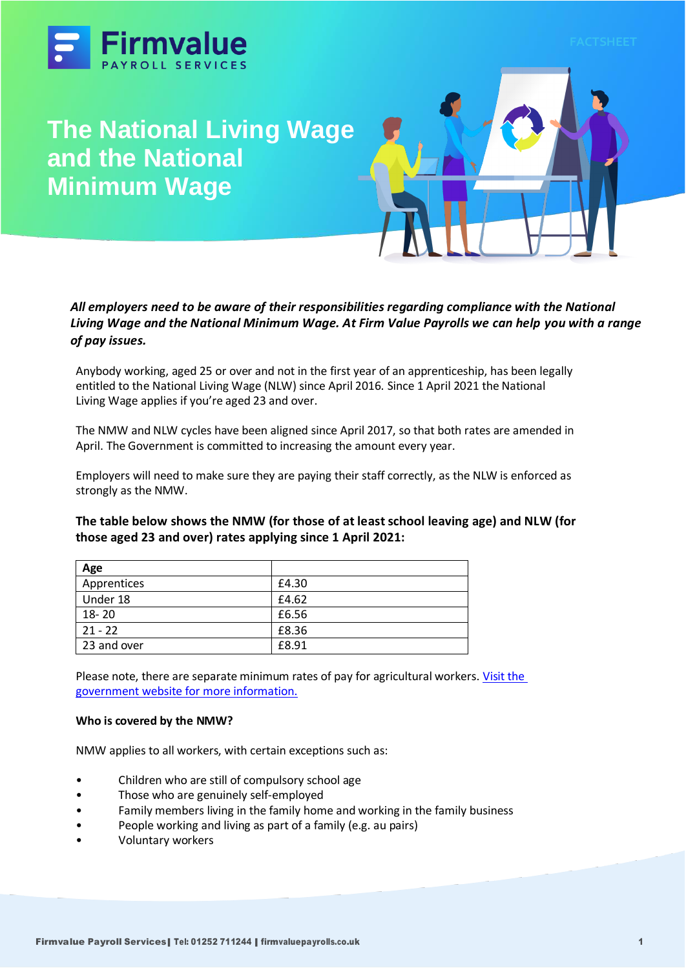

# **The National Living Wage and the National Minimum Wage**



# *All employers need to be aware of their responsibilities regarding compliance with the National Living Wage and the National Minimum Wage. At Firm Value Payrolls we can help you with a range of pay issues.*

Anybody working, aged 25 or over and not in the first year of an apprenticeship, has been legally entitled to the National Living Wage (NLW) since April 2016. Since 1 April 2021 the National Living Wage applies if you're aged 23 and over.

The NMW and NLW cycles have been aligned since April 2017, so that both rates are amended in April. The Government is committed to increasing the amount every year.

Employers will need to make sure they are paying their staff correctly, as the NLW is enforced as strongly as the NMW.

**The table below shows the NMW (for those of at least school leaving age) and NLW (for those aged 23 and over) rates applying since 1 April 2021:**

| Age         |       |
|-------------|-------|
| Apprentices | £4.30 |
| Under 18    | £4.62 |
| 18-20       | £6.56 |
| $21 - 22$   | £8.36 |
| 23 and over | £8.91 |

Please note, there are separate minimum rates of pay for agricultural workers[. Visit the](https://www.gov.uk/agricultural-workers-rights/pay-and-overtime)  [government website for more information.](https://www.gov.uk/agricultural-workers-rights/pay-and-overtime)

# **Who is covered by the NMW?**

NMW applies to all workers, with certain exceptions such as:

- Children who are still of compulsory school age
- Those who are genuinely self-employed
- Family members living in the family home and working in the family business
- People working and living as part of a family (e.g. au pairs)
- Voluntary workers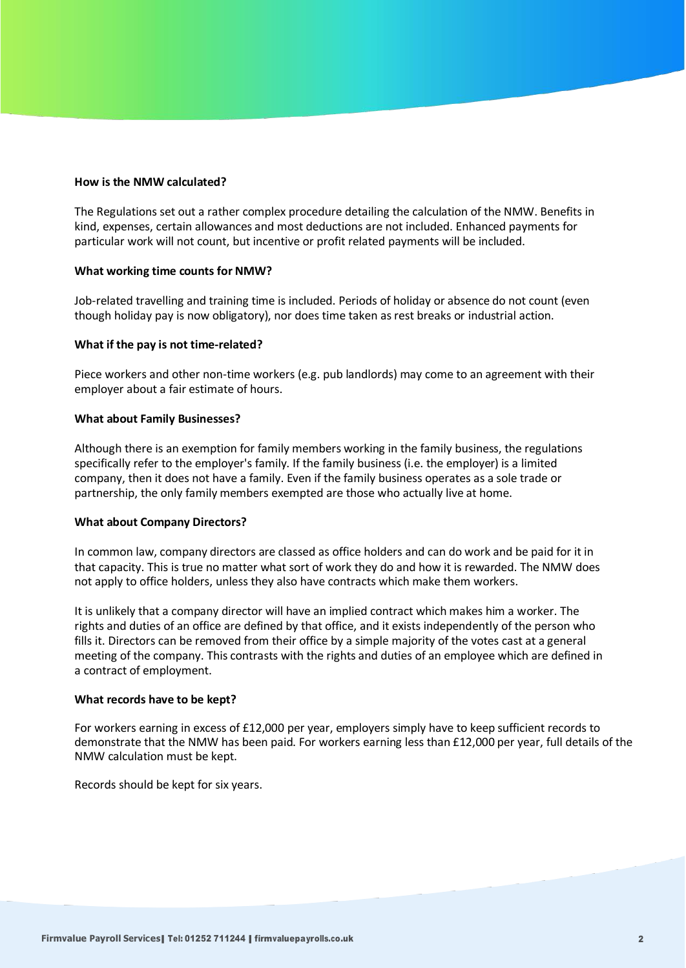#### **How is the NMW calculated?**

The Regulations set out a rather complex procedure detailing the calculation of the NMW. Benefits in kind, expenses, certain allowances and most deductions are not included. Enhanced payments for particular work will not count, but incentive or profit related payments will be included.

#### **What working time counts for NMW?**

Job-related travelling and training time is included. Periods of holiday or absence do not count (even though holiday pay is now obligatory), nor does time taken as rest breaks or industrial action.

#### **What if the pay is not time-related?**

Piece workers and other non-time workers (e.g. pub landlords) may come to an agreement with their employer about a fair estimate of hours.

#### **What about Family Businesses?**

Although there is an exemption for family members working in the family business, the regulations specifically refer to the employer's family. If the family business (i.e. the employer) is a limited company, then it does not have a family. Even if the family business operates as a sole trade or partnership, the only family members exempted are those who actually live at home.

# **What about Company Directors?**

In common law, company directors are classed as office holders and can do work and be paid for it in that capacity. This is true no matter what sort of work they do and how it is rewarded. The NMW does not apply to office holders, unless they also have contracts which make them workers.

It is unlikely that a company director will have an implied contract which makes him a worker. The rights and duties of an office are defined by that office, and it exists independently of the person who fills it. Directors can be removed from their office by a simple majority of the votes cast at a general meeting of the company. This contrasts with the rights and duties of an employee which are defined in a contract of employment.

# **What records have to be kept?**

For workers earning in excess of £12,000 per year, employers simply have to keep sufficient records to demonstrate that the NMW has been paid. For workers earning less than £12,000 per year, full details of the NMW calculation must be kept.

Records should be kept for six years.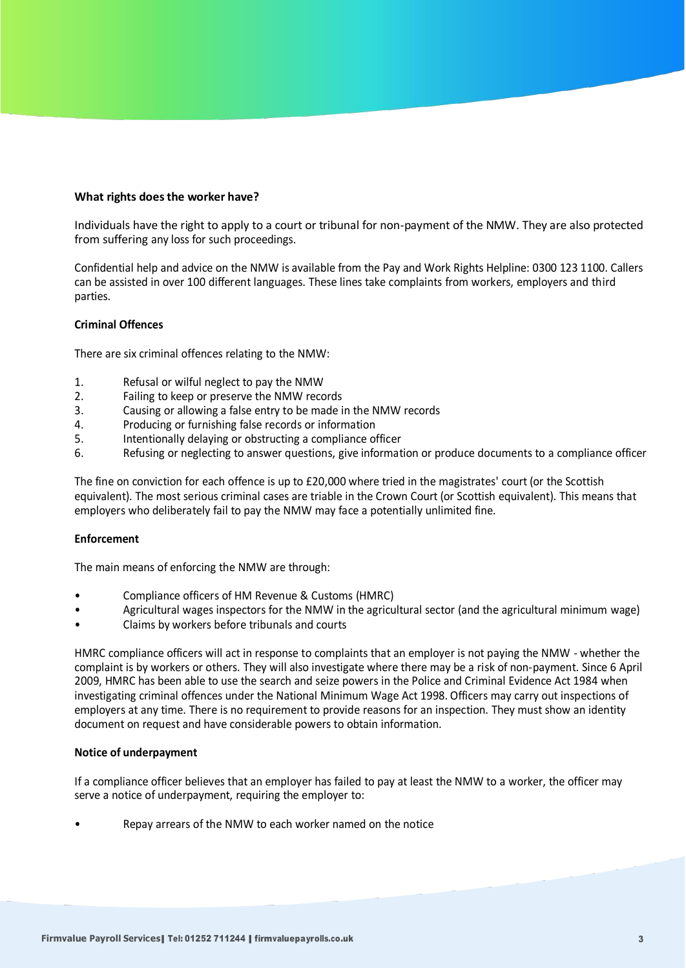#### **What rights does the worker have?**

Individuals have the right to apply to a court or tribunal for non-payment of the NMW. They are also protected from suffering any loss for such proceedings.

Confidential help and advice on the NMW is available from the Pay and Work Rights Helpline: 0300 123 1100. Callers can be assisted in over 100 different languages. These lines take complaints from workers, employers and third parties.

# **Criminal Offences**

There are six criminal offences relating to the NMW:

- 1. Refusal or wilful neglect to pay the NMW
- 2. Failing to keep or preserve the NMW records
- 3. Causing or allowing a false entry to be made in the NMW records
- 4. Producing or furnishing false records or information
- 5. Intentionally delaying or obstructing a compliance officer
- 6. Refusing or neglecting to answer questions, give information or produce documents to a compliance officer

The fine on conviction for each offence is up to £20,000 where tried in the magistrates' court (or the Scottish equivalent). The most serious criminal cases are triable in the Crown Court (or Scottish equivalent). This means that employers who deliberately fail to pay the NMW may face a potentially unlimited fine.

#### **Enforcement**

The main means of enforcing the NMW are through:

- Compliance officers of HM Revenue & Customs (HMRC)
- Agricultural wages inspectors for the NMW in the agricultural sector (and the agricultural minimum wage)
- Claims by workers before tribunals and courts

HMRC compliance officers will act in response to complaints that an employer is not paying the NMW - whether the complaint is by workers or others. They will also investigate where there may be a risk of non-payment. Since 6 April 2009, HMRC has been able to use the search and seize powers in the Police and Criminal Evidence Act 1984 when investigating criminal offences under the National Minimum Wage Act 1998. Officers may carry out inspections of employers at any time. There is no requirement to provide reasons for an inspection. They must show an identity document on request and have considerable powers to obtain information.

#### **Notice of underpayment**

If a compliance officer believes that an employer has failed to pay at least the NMW to a worker, the officer may serve a notice of underpayment, requiring the employer to:

Repay arrears of the NMW to each worker named on the notice